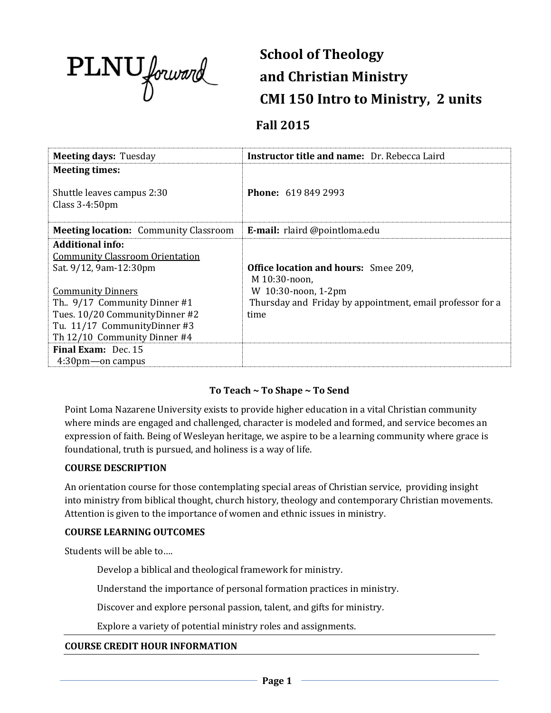

# **School of Theology and Christian Ministry CMI 150 Intro to Ministry, 2 units**

# **Fall 2015**

| <b>Meeting days: Tuesday</b>                                                                                                                                                                                                                                | <b>Instructor title and name:</b> Dr. Rebecca Laird                                                                                                      |
|-------------------------------------------------------------------------------------------------------------------------------------------------------------------------------------------------------------------------------------------------------------|----------------------------------------------------------------------------------------------------------------------------------------------------------|
| <b>Meeting times:</b>                                                                                                                                                                                                                                       |                                                                                                                                                          |
| Shuttle leaves campus 2:30<br>Class $3-4:50$ pm                                                                                                                                                                                                             | <b>Phone: 619 849 2993</b>                                                                                                                               |
| <b>Meeting location:</b> Community Classroom                                                                                                                                                                                                                | E-mail: rlaird @pointloma.edu                                                                                                                            |
| <b>Additional info:</b><br><b>Community Classroom Orientation</b><br>Sat. 9/12, 9am-12:30pm<br><b>Community Dinners</b><br>Th., 9/17 Community Dinner #1<br>Tues. 10/20 Community Dinner #2<br>Tu. 11/17 CommunityDinner #3<br>Th 12/10 Community Dinner #4 | <b>Office location and hours:</b> Smee 209,<br>M 10:30-noon,<br>W 10:30-noon, 1-2pm<br>Thursday and Friday by appointment, email professor for a<br>time |
| <b>Final Exam:</b> Dec. 15<br>$4:30$ pm — on campus                                                                                                                                                                                                         |                                                                                                                                                          |

## **To Teach ~ To Shape ~ To Send**

Point Loma Nazarene University exists to provide higher education in a vital Christian community where minds are engaged and challenged, character is modeled and formed, and service becomes an expression of faith. Being of Wesleyan heritage, we aspire to be a learning community where grace is foundational, truth is pursued, and holiness is a way of life.

#### **COURSE DESCRIPTION**

An orientation course for those contemplating special areas of Christian service, providing insight into ministry from biblical thought, church history, theology and contemporary Christian movements. Attention is given to the importance of women and ethnic issues in ministry.

#### **COURSE LEARNING OUTCOMES**

Students will be able to….

Develop a biblical and theological framework for ministry.

Understand the importance of personal formation practices in ministry.

Discover and explore personal passion, talent, and gifts for ministry.

Explore a variety of potential ministry roles and assignments.

#### **COURSE CREDIT HOUR INFORMATION**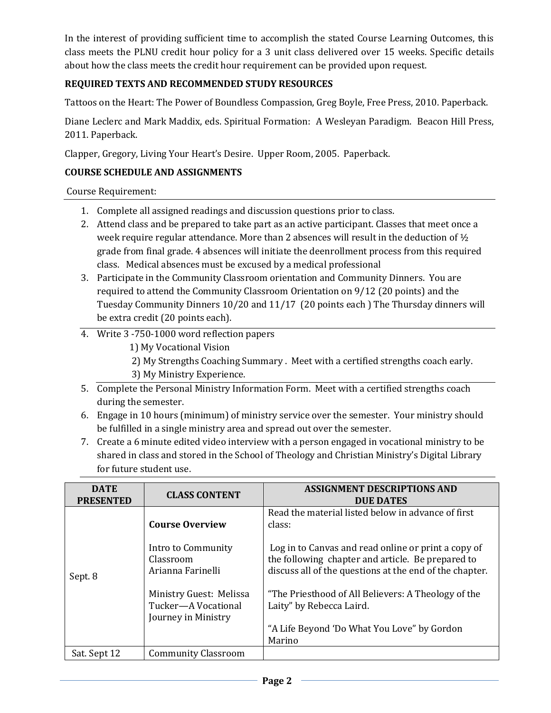In the interest of providing sufficient time to accomplish the stated Course Learning Outcomes, this class meets the PLNU credit hour policy for a 3 unit class delivered over 15 weeks. Specific details about how the class meets the credit hour requirement can be provided upon request.

# **REQUIRED TEXTS AND RECOMMENDED STUDY RESOURCES**

Tattoos on the Heart: The Power of Boundless Compassion, Greg Boyle, Free Press, 2010. Paperback.

Diane Leclerc and Mark Maddix, eds. Spiritual Formation: A Wesleyan Paradigm. Beacon Hill Press, 2011. Paperback.

Clapper, Gregory, Living Your Heart's Desire. Upper Room, 2005. Paperback.

#### **COURSE SCHEDULE AND ASSIGNMENTS**

Course Requirement:

- 1. Complete all assigned readings and discussion questions prior to class.
- 2. Attend class and be prepared to take part as an active participant. Classes that meet once a week require regular attendance. More than 2 absences will result in the deduction of ½ grade from final grade. 4 absences will initiate the deenrollment process from this required class. Medical absences must be excused by a medical professional
- 3. Participate in the Community Classroom orientation and Community Dinners. You are required to attend the Community Classroom Orientation on 9/12 (20 points) and the Tuesday Community Dinners 10/20 and 11/17 (20 points each ) The Thursday dinners will be extra credit (20 points each).
- 4. Write 3 -750-1000 word reflection papers
	- 1) My Vocational Vision
	- 2) My Strengths Coaching Summary . Meet with a certified strengths coach early.
	- 3) My Ministry Experience.
- 5. Complete the Personal Ministry Information Form. Meet with a certified strengths coach during the semester.
- 6. Engage in 10 hours (minimum) of ministry service over the semester. Your ministry should be fulfilled in a single ministry area and spread out over the semester.
- 7. Create a 6 minute edited video interview with a person engaged in vocational ministry to be shared in class and stored in the School of Theology and Christian Ministry's Digital Library for future student use.

| <b>DATE</b><br><b>PRESENTED</b> | <b>CLASS CONTENT</b>                                                  | <b>ASSIGNMENT DESCRIPTIONS AND</b><br><b>DUE DATES</b>                                                                                                              |  |
|---------------------------------|-----------------------------------------------------------------------|---------------------------------------------------------------------------------------------------------------------------------------------------------------------|--|
| Sept. 8                         | <b>Course Overview</b>                                                | Read the material listed below in advance of first<br>class:                                                                                                        |  |
|                                 | Intro to Community<br>Classroom<br>Arianna Farinelli                  | Log in to Canvas and read online or print a copy of<br>the following chapter and article. Be prepared to<br>discuss all of the questions at the end of the chapter. |  |
|                                 | Ministry Guest: Melissa<br>Tucker-A Vocational<br>Journey in Ministry | "The Priesthood of All Believers: A Theology of the<br>Laity" by Rebecca Laird.<br>"A Life Beyond 'Do What You Love" by Gordon                                      |  |
|                                 |                                                                       | Marino                                                                                                                                                              |  |
| Sat. Sept 12                    | <b>Community Classroom</b>                                            |                                                                                                                                                                     |  |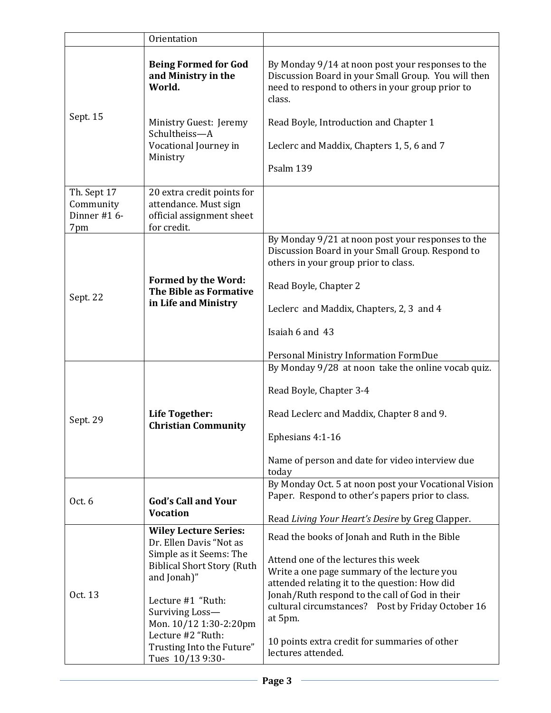|                                                | Orientation                                                                                                                            |                                                                                                                                                                        |  |
|------------------------------------------------|----------------------------------------------------------------------------------------------------------------------------------------|------------------------------------------------------------------------------------------------------------------------------------------------------------------------|--|
| Sept. 15                                       | <b>Being Formed for God</b><br>and Ministry in the<br>World.                                                                           | By Monday 9/14 at noon post your responses to the<br>Discussion Board in your Small Group. You will then<br>need to respond to others in your group prior to<br>class. |  |
|                                                | Ministry Guest: Jeremy<br>Schultheiss-A                                                                                                | Read Boyle, Introduction and Chapter 1                                                                                                                                 |  |
|                                                | Vocational Journey in<br>Ministry                                                                                                      | Leclerc and Maddix, Chapters 1, 5, 6 and 7                                                                                                                             |  |
|                                                |                                                                                                                                        | Psalm 139                                                                                                                                                              |  |
| Th. Sept 17<br>Community<br>Dinner #16-<br>7pm | 20 extra credit points for<br>attendance. Must sign<br>official assignment sheet<br>for credit.                                        |                                                                                                                                                                        |  |
| Sept. 22                                       |                                                                                                                                        | By Monday 9/21 at noon post your responses to the<br>Discussion Board in your Small Group. Respond to<br>others in your group prior to class.                          |  |
|                                                | <b>Formed by the Word:</b><br>The Bible as Formative<br>in Life and Ministry                                                           | Read Boyle, Chapter 2                                                                                                                                                  |  |
|                                                |                                                                                                                                        | Leclerc and Maddix, Chapters, 2, 3 and 4                                                                                                                               |  |
|                                                |                                                                                                                                        | Isaiah 6 and 43                                                                                                                                                        |  |
|                                                |                                                                                                                                        | Personal Ministry Information FormDue                                                                                                                                  |  |
|                                                | Life Together:<br><b>Christian Community</b>                                                                                           | By Monday 9/28 at noon take the online vocab quiz.<br>Read Boyle, Chapter 3-4                                                                                          |  |
| Sept. 29                                       |                                                                                                                                        | Read Leclerc and Maddix, Chapter 8 and 9.                                                                                                                              |  |
|                                                |                                                                                                                                        | Ephesians 4:1-16                                                                                                                                                       |  |
|                                                |                                                                                                                                        | Name of person and date for video interview due<br>today                                                                                                               |  |
| Oct. 6                                         | <b>God's Call and Your</b>                                                                                                             | By Monday Oct. 5 at noon post your Vocational Vision<br>Paper. Respond to other's papers prior to class.                                                               |  |
|                                                | <b>Vocation</b>                                                                                                                        | Read Living Your Heart's Desire by Greg Clapper.                                                                                                                       |  |
| Oct. 13                                        | <b>Wiley Lecture Series:</b><br>Dr. Ellen Davis "Not as<br>Simple as it Seems: The<br><b>Biblical Short Story (Ruth</b><br>and Jonah)" | Read the books of Jonah and Ruth in the Bible                                                                                                                          |  |
|                                                |                                                                                                                                        | Attend one of the lectures this week<br>Write a one page summary of the lecture you<br>attended relating it to the question: How did                                   |  |
|                                                | Lecture #1 "Ruth:<br>Surviving Loss-<br>Mon. 10/12 1:30-2:20pm                                                                         | Jonah/Ruth respond to the call of God in their<br>cultural circumstances? Post by Friday October 16<br>at 5pm.                                                         |  |
|                                                | Lecture #2 "Ruth:<br>Trusting Into the Future"<br>Tues 10/13 9:30-                                                                     | 10 points extra credit for summaries of other<br>lectures attended.                                                                                                    |  |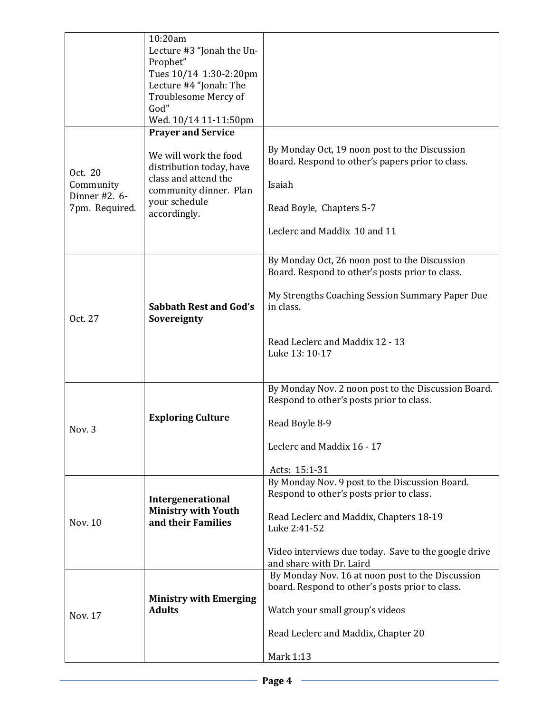| Oct. 20                    | 10:20am<br>Lecture #3 "Jonah the Un-<br>Prophet"<br>Tues 10/14 1:30-2:20pm<br>Lecture #4 "Jonah: The<br>Troublesome Mercy of<br>God"<br>Wed. 10/14 11-11:50pm<br><b>Prayer and Service</b><br>We will work the food<br>distribution today, have<br>class and attend the | By Monday Oct, 19 noon post to the Discussion<br>Board. Respond to other's papers prior to class.                                                                                                                                         |
|----------------------------|-------------------------------------------------------------------------------------------------------------------------------------------------------------------------------------------------------------------------------------------------------------------------|-------------------------------------------------------------------------------------------------------------------------------------------------------------------------------------------------------------------------------------------|
| Community<br>Dinner #2. 6- | community dinner. Plan<br>your schedule<br>accordingly.                                                                                                                                                                                                                 | Isaiah                                                                                                                                                                                                                                    |
| 7pm. Required.             |                                                                                                                                                                                                                                                                         | Read Boyle, Chapters 5-7                                                                                                                                                                                                                  |
|                            |                                                                                                                                                                                                                                                                         | Leclerc and Maddix 10 and 11                                                                                                                                                                                                              |
| Oct. 27                    | <b>Sabbath Rest and God's</b><br>Sovereignty                                                                                                                                                                                                                            | By Monday Oct, 26 noon post to the Discussion<br>Board. Respond to other's posts prior to class.<br>My Strengths Coaching Session Summary Paper Due<br>in class.                                                                          |
|                            |                                                                                                                                                                                                                                                                         | Read Leclerc and Maddix 12 - 13<br>Luke 13: 10-17                                                                                                                                                                                         |
| Nov. 3                     | <b>Exploring Culture</b>                                                                                                                                                                                                                                                | By Monday Nov. 2 noon post to the Discussion Board.<br>Respond to other's posts prior to class.<br>Read Boyle 8-9<br>Leclerc and Maddix 16 - 17<br>Acts: 15:1-31                                                                          |
| Nov. 10                    | Intergenerational<br><b>Ministry with Youth</b><br>and their Families                                                                                                                                                                                                   | By Monday Nov. 9 post to the Discussion Board.<br>Respond to other's posts prior to class.<br>Read Leclerc and Maddix, Chapters 18-19<br>Luke 2:41-52<br>Video interviews due today. Save to the google drive<br>and share with Dr. Laird |
| Nov. 17                    | <b>Ministry with Emerging</b><br><b>Adults</b>                                                                                                                                                                                                                          | By Monday Nov. 16 at noon post to the Discussion<br>board. Respond to other's posts prior to class.<br>Watch your small group's videos<br>Read Leclerc and Maddix, Chapter 20<br>Mark 1:13                                                |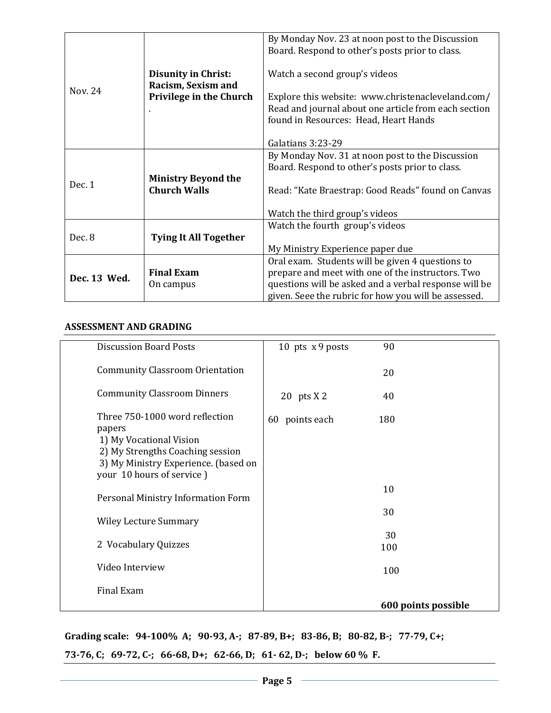|              |                                               | By Monday Nov. 23 at noon post to the Discussion      |  |
|--------------|-----------------------------------------------|-------------------------------------------------------|--|
|              |                                               | Board. Respond to other's posts prior to class.       |  |
|              |                                               |                                                       |  |
|              |                                               | Watch a second group's videos                         |  |
|              | <b>Disunity in Christ:</b>                    |                                                       |  |
| Nov. 24      | Racism, Sexism and<br>Privilege in the Church | Explore this website: www.christenacleveland.com/     |  |
|              |                                               |                                                       |  |
|              |                                               | Read and journal about one article from each section  |  |
|              |                                               | found in Resources: Head, Heart Hands                 |  |
|              |                                               |                                                       |  |
|              |                                               | Galatians 3:23-29                                     |  |
|              |                                               | By Monday Nov. 31 at noon post to the Discussion      |  |
|              |                                               | Board. Respond to other's posts prior to class.       |  |
| Dec. 1       | <b>Ministry Beyond the</b>                    |                                                       |  |
|              | <b>Church Walls</b>                           | Read: "Kate Braestrap: Good Reads" found on Canvas    |  |
|              |                                               |                                                       |  |
|              |                                               | Watch the third group's videos                        |  |
|              |                                               | Watch the fourth group's videos                       |  |
| Dec. 8       | <b>Tying It All Together</b>                  |                                                       |  |
|              |                                               | My Ministry Experience paper due                      |  |
| Dec. 13 Wed. |                                               | Oral exam. Students will be given 4 questions to      |  |
|              | <b>Final Exam</b>                             | prepare and meet with one of the instructors. Two     |  |
|              | On campus                                     | questions will be asked and a verbal response will be |  |
|              |                                               | given. Seee the rubric for how you will be assessed.  |  |

#### **ASSESSMENT AND GRADING**

| <b>Discussion Board Posts</b>                                                                                                                                                | 10 pts $x$ 9 posts | 90                  |
|------------------------------------------------------------------------------------------------------------------------------------------------------------------------------|--------------------|---------------------|
| <b>Community Classroom Orientation</b>                                                                                                                                       |                    | 20                  |
| <b>Community Classroom Dinners</b>                                                                                                                                           | 20 pts $X$ 2       | 40                  |
| Three 750-1000 word reflection<br>papers<br>1) My Vocational Vision<br>2) My Strengths Coaching session<br>3) My Ministry Experience. (based on<br>your 10 hours of service) | 60 points each     | 180                 |
| Personal Ministry Information Form                                                                                                                                           |                    | 10                  |
| <b>Wiley Lecture Summary</b>                                                                                                                                                 |                    | 30                  |
| 2 Vocabulary Quizzes                                                                                                                                                         |                    | 30<br>100           |
| Video Interview                                                                                                                                                              |                    | 100                 |
| Final Exam                                                                                                                                                                   |                    | 600 points possible |

**Grading scale: 94-100% A; 90-93, A-; 87-89, B+; 83-86, B; 80-82, B-; 77-79, C+;** 

**73-76, C; 69-72, C-; 66-68, D+; 62-66, D; 61- 62, D-; below 60 % F.**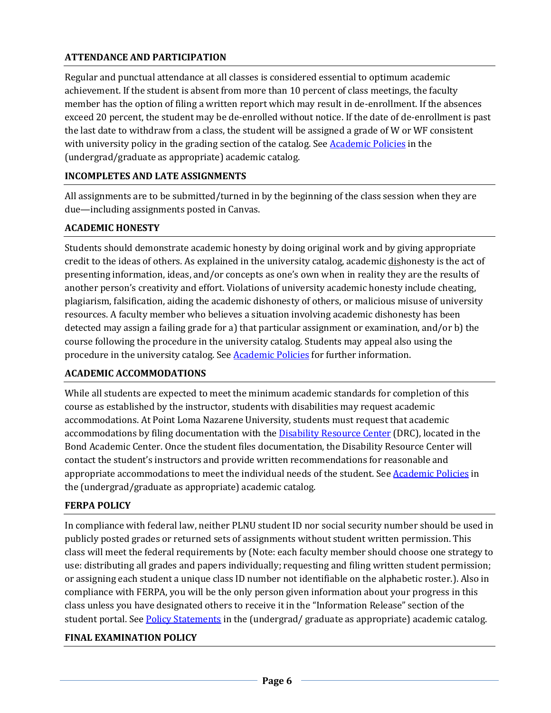## **ATTENDANCE AND PARTICIPATION**

Regular and punctual attendance at all classes is considered essential to optimum academic achievement. If the student is absent from more than 10 percent of class meetings, the faculty member has the option of filing a written report which may result in de-enrollment. If the absences exceed 20 percent, the student may be de-enrolled without notice. If the date of de-enrollment is past the last date to withdraw from a class, the student will be assigned a grade of W or WF consistent with university policy in the grading section of the catalog. Se[e Academic Policies](http://www.pointloma.edu/experience/academics/catalogs/undergraduate-catalog/point-loma-education/academic-policies) in the (undergrad/graduate as appropriate) academic catalog.

# **INCOMPLETES AND LATE ASSIGNMENTS**

All assignments are to be submitted/turned in by the beginning of the class session when they are due—including assignments posted in Canvas.

## **ACADEMIC HONESTY**

Students should demonstrate academic honesty by doing original work and by giving appropriate credit to the ideas of others. As explained in the university catalog, academic dishonesty is the act of presenting information, ideas, and/or concepts as one's own when in reality they are the results of another person's creativity and effort. Violations of university academic honesty include cheating, plagiarism, falsification, aiding the academic dishonesty of others, or malicious misuse of university resources. A faculty member who believes a situation involving academic dishonesty has been detected may assign a failing grade for a) that particular assignment or examination, and/or b) the course following the procedure in the university catalog. Students may appeal also using the procedure in the university catalog. Se[e Academic Policies](http://www.pointloma.edu/experience/academics/catalogs/undergraduate-catalog/point-loma-education/academic-policies) for further information.

## **ACADEMIC ACCOMMODATIONS**

While all students are expected to meet the minimum academic standards for completion of this course as established by the instructor, students with disabilities may request academic accommodations. At Point Loma Nazarene University, students must request that academic accommodations by filing documentation with the [Disability Resource Center](http://www.pointloma.edu/experience/offices/administrative-offices/academic-advising-office/disability-resource-center) (DRC), located in the Bond Academic Center. Once the student files documentation, the Disability Resource Center will contact the student's instructors and provide written recommendations for reasonable and appropriate accommodations to meet the individual needs of the student. See [Academic Policies](http://www.pointloma.edu/experience/academics/catalogs/undergraduate-catalog/point-loma-education/academic-policies) in the (undergrad/graduate as appropriate) academic catalog.

# **FERPA POLICY**

In compliance with federal law, neither PLNU student ID nor social security number should be used in publicly posted grades or returned sets of assignments without student written permission. This class will meet the federal requirements by (Note: each faculty member should choose one strategy to use: distributing all grades and papers individually; requesting and filing written student permission; or assigning each student a unique class ID number not identifiable on the alphabetic roster.). Also in compliance with FERPA, you will be the only person given information about your progress in this class unless you have designated others to receive it in the "Information Release" section of the student portal. See [Policy Statements](http://www.pointloma.edu/experience/academics/catalogs/undergraduate-catalog/policy-statements) in the (undergrad/ graduate as appropriate) academic catalog.

## **FINAL EXAMINATION POLICY**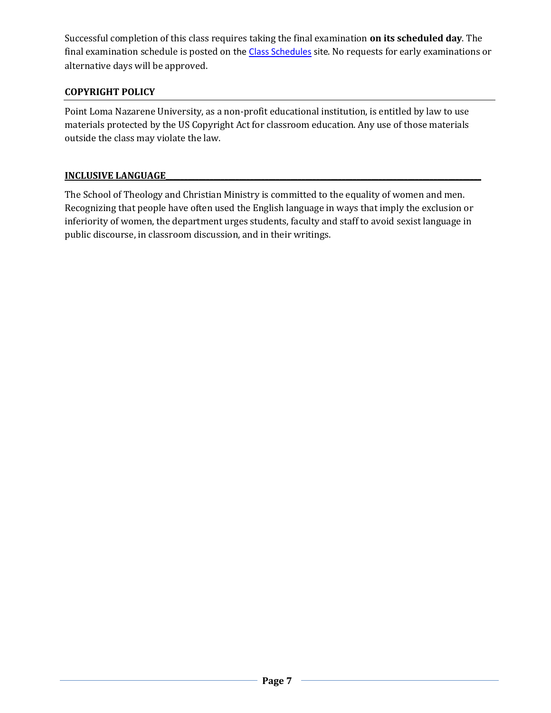Successful completion of this class requires taking the final examination **on its scheduled day**. The final examination schedule is posted on th[e Class Schedules](http://www.pointloma.edu/experience/academics/class-schedules) site. No requests for early examinations or alternative days will be approved.

# **COPYRIGHT POLICY**

Point Loma Nazarene University, as a non-profit educational institution, is entitled by law to use materials protected by the US Copyright Act for classroom education. Any use of those materials outside the class may violate the law.

## **INCLUSIVE LANGUAGE\_\_\_\_\_\_\_\_\_\_\_\_\_\_\_\_\_\_\_\_\_\_\_\_\_\_\_\_\_\_\_\_\_\_\_\_\_\_\_\_\_\_\_\_\_\_\_\_\_\_\_\_\_\_\_\_\_\_\_\_\_\_\_\_\_\_\_\_\_\_\_\_\_\_\_\_\_\_\_\_\_\_\_\_\_\_**

The School of Theology and Christian Ministry is committed to the equality of women and men. Recognizing that people have often used the English language in ways that imply the exclusion or inferiority of women, the department urges students, faculty and staff to avoid sexist language in public discourse, in classroom discussion, and in their writings.